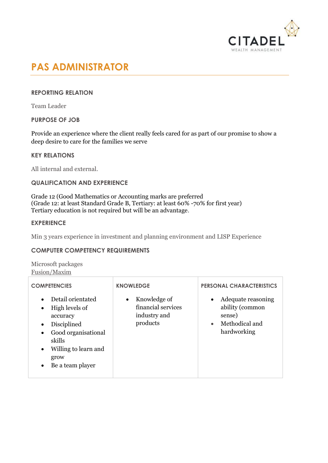

# **PAS ADMINISTRATOR**

# **REPORTING RELATION**

Team Leader

**PURPOSE OF JOB**

Provide an experience where the client really feels cared for as part of our promise to show a deep desire to care for the families we serve

## **KEY RELATIONS**

All internal and external.

#### **QUALIFICATION AND EXPERIENCE**

Grade 12 (Good Mathematics or Accounting marks are preferred (Grade 12: at least Standard Grade B, Tertiary: at least 60% -70% for first year) Tertiary education is not required but will be an advantage.

### **EXPERIENCE**

Min 3 years experience in investment and planning environment and LISP Experience

## **COMPUTER COMPETENCY REQUIREMENTS**

Microsoft packages Fusion/Maxim

| <b>COMPETENCIES</b>                                                                                                                                                                                                               | <b>KNOWLEDGE</b>                                                            | <b>PERSONAL CHARACTERISTICS</b>                                                                            |
|-----------------------------------------------------------------------------------------------------------------------------------------------------------------------------------------------------------------------------------|-----------------------------------------------------------------------------|------------------------------------------------------------------------------------------------------------|
| Detail orientated<br>$\bullet$<br>High levels of<br>$\bullet$<br>accuracy<br>Disciplined<br>$\bullet$<br>Good organisational<br>$\bullet$<br>skills<br>Willing to learn and<br>$\bullet$<br>grow<br>Be a team player<br>$\bullet$ | Knowledge of<br>$\bullet$<br>financial services<br>industry and<br>products | Adequate reasoning<br>$\bullet$<br>ability (common<br>sense)<br>Methodical and<br>$\bullet$<br>hardworking |